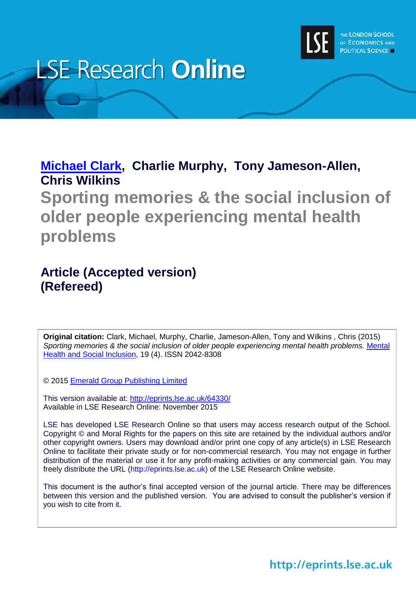

# **LSE Research Online**

## **[Michael Clark,](http://www.lse.ac.uk/researchAndExpertise/Experts/profile.aspx?KeyValue=m.c.clark@lse.ac.uk) Charlie Murphy, Tony Jameson-Allen, Chris Wilkins**

**Sporting memories & the social inclusion of older people experiencing mental health problems**

## **Article (Accepted version) (Refereed)**

**Original citation:** Clark, Michael, Murphy, Charlie, Jameson-Allen, Tony and Wilkins , Chris (2015) *Sporting memories & the social inclusion of older people experiencing mental health problems.* [Mental](http://www.emeraldinsight.com/loi/mhsi)  [Health and Social Inclusion,](http://www.emeraldinsight.com/loi/mhsi) 19 (4). ISSN 2042-8308

© 2015 [Emerald Group Publishing Limited](http://www.emeraldinsight.com/loi/mhsi)

This version available at:<http://eprints.lse.ac.uk/64330/> Available in LSE Research Online: November 2015

LSE has developed LSE Research Online so that users may access research output of the School. Copyright © and Moral Rights for the papers on this site are retained by the individual authors and/or other copyright owners. Users may download and/or print one copy of any article(s) in LSE Research Online to facilitate their private study or for non-commercial research. You may not engage in further distribution of the material or use it for any profit-making activities or any commercial gain. You may freely distribute the URL (http://eprints.lse.ac.uk) of the LSE Research Online website.

This document is the author's final accepted version of the journal article. There may be differences between this version and the published version. You are advised to consult the publisher's version if you wish to cite from it.

http://eprints.lse.ac.uk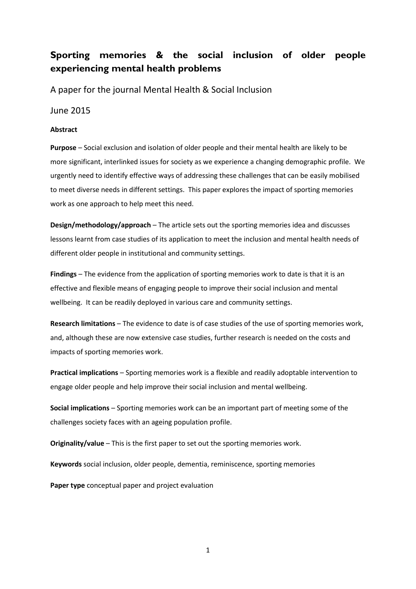### **Sporting memories & the social inclusion of older people experiencing mental health problems**

A paper for the journal Mental Health & Social Inclusion

June 2015

#### **Abstract**

**Purpose** – Social exclusion and isolation of older people and their mental health are likely to be more significant, interlinked issues for society as we experience a changing demographic profile. We urgently need to identify effective ways of addressing these challenges that can be easily mobilised to meet diverse needs in different settings. This paper explores the impact of sporting memories work as one approach to help meet this need.

**Design/methodology/approach** – The article sets out the sporting memories idea and discusses lessons learnt from case studies of its application to meet the inclusion and mental health needs of different older people in institutional and community settings.

**Findings** – The evidence from the application of sporting memories work to date is that it is an effective and flexible means of engaging people to improve their social inclusion and mental wellbeing. It can be readily deployed in various care and community settings.

**Research limitations** – The evidence to date is of case studies of the use of sporting memories work, and, although these are now extensive case studies, further research is needed on the costs and impacts of sporting memories work.

**Practical implications** – Sporting memories work is a flexible and readily adoptable intervention to engage older people and help improve their social inclusion and mental wellbeing.

**Social implications** – Sporting memories work can be an important part of meeting some of the challenges society faces with an ageing population profile.

**Originality/value** – This is the first paper to set out the sporting memories work.

**Keywords** social inclusion, older people, dementia, reminiscence, sporting memories

**Paper type** conceptual paper and project evaluation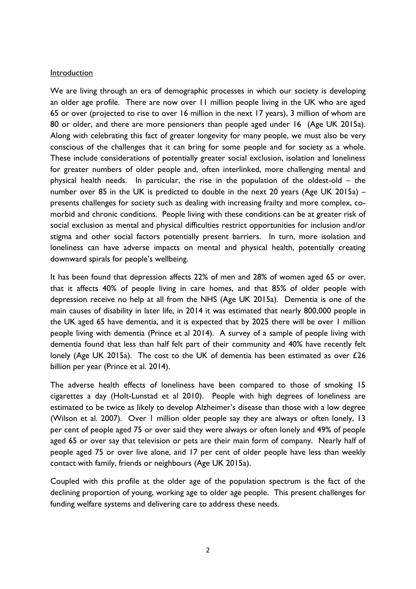#### Introduction

We are living through an era of demographic processes in which our society is developing an older age profile. There are now over 11 million people living in the UK who are aged 65 or over (projected to rise to over 16 million in the next 17 years), 3 million of whom are 80 or older, and there are more pensioners than people aged under 16 (Age UK 2015a). Along with celebrating this fact of greater longevity for many people, we must also be very conscious of the challenges that it can bring for some people and for society as a whole. These include considerations of potentially greater social exclusion, isolation and loneliness for greater numbers of older people and, often interlinked, more challenging mental and physical health needs. In particular, the rise in the population of the oldest-old – the number over 85 in the UK is predicted to double in the next 20 years (Age UK 2015a) – presents challenges for society such as dealing with increasing frailty and more complex, comorbid and chronic conditions. People living with these conditions can be at greater risk of social exclusion as mental and physical difficulties restrict opportunities for inclusion and/or stigma and other social factors potentially present barriers. In turn, more isolation and loneliness can have adverse impacts on mental and physical health, potentially creating downward spirals for people's wellbeing.

It has been found that depression affects 22% of men and 28% of women aged 65 or over, that it affects 40% of people living in care homes, and that 85% of older people with depression receive no help at all from the NHS (Age UK 2015a). Dementia is one of the main causes of disability in later life, in 2014 it was estimated that nearly 800,000 people in the UK aged 65 have dementia, and it is expected that by 2025 there will be over 1 million people living with dementia (Prince et al 2014). A survey of a sample of people living with dementia found that less than half felt part of their community and 40% have recently felt lonely (Age UK 2015a). The cost to the UK of dementia has been estimated as over £26 billion per year (Prince et al. 2014).

The adverse health effects of loneliness have been compared to those of smoking 15 cigarettes a day (Holt-Lunstad et al 2010). People with high degrees of loneliness are estimated to be twice as likely to develop Alzheimer's disease than those with a low degree (Wilson et al. 2007). Over 1 million older people say they are always or often lonely, 13 per cent of people aged 75 or over said they were always or often lonely and 49% of people aged 65 or over say that television or pets are their main form of company. Nearly half of people aged 75 or over live alone, and 17 per cent of older people have less than weekly contact with family, friends or neighbours (Age UK 2015a).

Coupled with this profile at the older age of the population spectrum is the fact of the declining proportion of young, working age to older age people. This present challenges for funding welfare systems and delivering care to address these needs.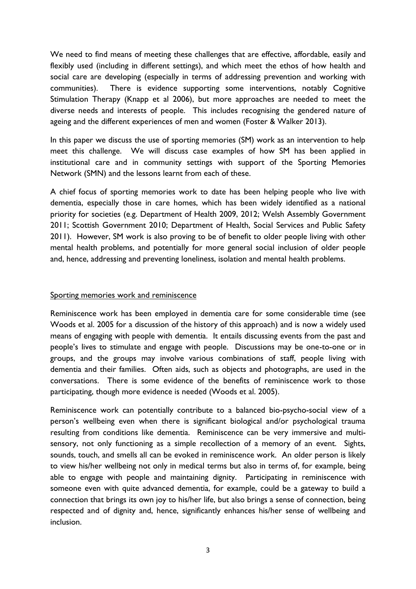We need to find means of meeting these challenges that are effective, affordable, easily and flexibly used (including in different settings), and which meet the ethos of how health and social care are developing (especially in terms of addressing prevention and working with communities). There is evidence supporting some interventions, notably Cognitive Stimulation Therapy (Knapp et al 2006), but more approaches are needed to meet the diverse needs and interests of people. This includes recognising the gendered nature of ageing and the different experiences of men and women (Foster & Walker 2013).

In this paper we discuss the use of sporting memories (SM) work as an intervention to help meet this challenge. We will discuss case examples of how SM has been applied in institutional care and in community settings with support of the Sporting Memories Network (SMN) and the lessons learnt from each of these.

A chief focus of sporting memories work to date has been helping people who live with dementia, especially those in care homes, which has been widely identified as a national priority for societies (e.g. Department of Health 2009, 2012; Welsh Assembly Government 2011; Scottish Government 2010; Department of Health, Social Services and Public Safety 2011). However, SM work is also proving to be of benefit to older people living with other mental health problems, and potentially for more general social inclusion of older people and, hence, addressing and preventing loneliness, isolation and mental health problems.

#### Sporting memories work and reminiscence

Reminiscence work has been employed in dementia care for some considerable time (see Woods et al. 2005 for a discussion of the history of this approach) and is now a widely used means of engaging with people with dementia. It entails discussing events from the past and people's lives to stimulate and engage with people. Discussions may be one-to-one or in groups, and the groups may involve various combinations of staff, people living with dementia and their families. Often aids, such as objects and photographs, are used in the conversations. There is some evidence of the benefits of reminiscence work to those participating, though more evidence is needed (Woods et al. 2005).

Reminiscence work can potentially contribute to a balanced bio-psycho-social view of a person's wellbeing even when there is significant biological and/or psychological trauma resulting from conditions like dementia. Reminiscence can be very immersive and multisensory, not only functioning as a simple recollection of a memory of an event. Sights, sounds, touch, and smells all can be evoked in reminiscence work. An older person is likely to view his/her wellbeing not only in medical terms but also in terms of, for example, being able to engage with people and maintaining dignity. Participating in reminiscence with someone even with quite advanced dementia, for example, could be a gateway to build a connection that brings its own joy to his/her life, but also brings a sense of connection, being respected and of dignity and, hence, significantly enhances his/her sense of wellbeing and inclusion.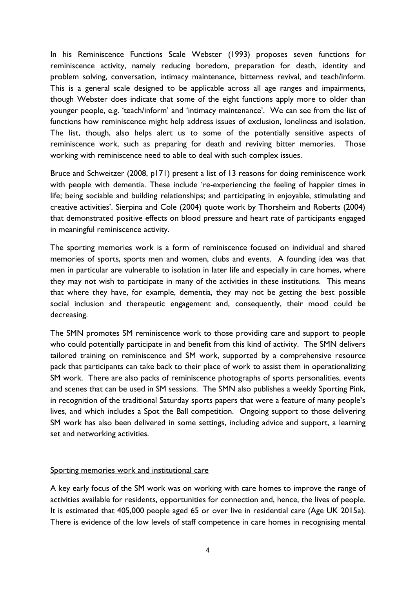In his Reminiscence Functions Scale Webster (1993) proposes seven functions for reminiscence activity, namely reducing boredom, preparation for death, identity and problem solving, conversation, intimacy maintenance, bitterness revival, and teach/inform. This is a general scale designed to be applicable across all age ranges and impairments, though Webster does indicate that some of the eight functions apply more to older than younger people, e.g. 'teach/inform' and 'intimacy maintenance'. We can see from the list of functions how reminiscence might help address issues of exclusion, loneliness and isolation. The list, though, also helps alert us to some of the potentially sensitive aspects of reminiscence work, such as preparing for death and reviving bitter memories. Those working with reminiscence need to able to deal with such complex issues.

Bruce and Schweitzer (2008, p171) present a list of 13 reasons for doing reminiscence work with people with dementia. These include 're-experiencing the feeling of happier times in life; being sociable and building relationships; and participating in enjoyable, stimulating and creative activities'. Sierpina and Cole (2004) quote work by Thorsheim and Roberts (2004) that demonstrated positive effects on blood pressure and heart rate of participants engaged in meaningful reminiscence activity.

The sporting memories work is a form of reminiscence focused on individual and shared memories of sports, sports men and women, clubs and events. A founding idea was that men in particular are vulnerable to isolation in later life and especially in care homes, where they may not wish to participate in many of the activities in these institutions. This means that where they have, for example, dementia, they may not be getting the best possible social inclusion and therapeutic engagement and, consequently, their mood could be decreasing.

The SMN promotes SM reminiscence work to those providing care and support to people who could potentially participate in and benefit from this kind of activity. The SMN delivers tailored training on reminiscence and SM work, supported by a comprehensive resource pack that participants can take back to their place of work to assist them in operationalizing SM work. There are also packs of reminiscence photographs of sports personalities, events and scenes that can be used in SM sessions. The SMN also publishes a weekly Sporting Pink, in recognition of the traditional Saturday sports papers that were a feature of many people's lives, and which includes a Spot the Ball competition. Ongoing support to those delivering SM work has also been delivered in some settings, including advice and support, a learning set and networking activities.

#### Sporting memories work and institutional care

A key early focus of the SM work was on working with care homes to improve the range of activities available for residents, opportunities for connection and, hence, the lives of people. It is estimated that 405,000 people aged 65 or over live in residential care (Age UK 2015a). There is evidence of the low levels of staff competence in care homes in recognising mental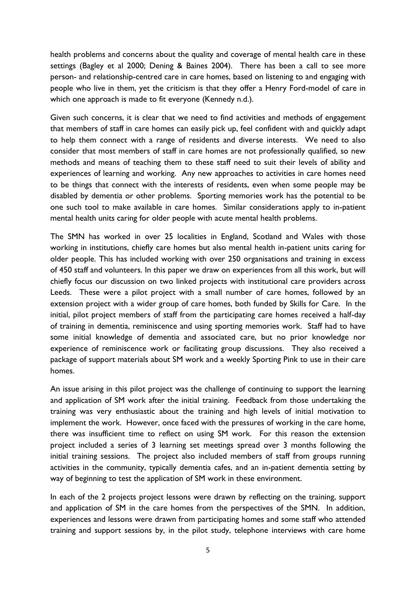health problems and concerns about the quality and coverage of mental health care in these settings (Bagley et al 2000; Dening & Baines 2004). There has been a call to see more person- and relationship-centred care in care homes, based on listening to and engaging with people who live in them, yet the criticism is that they offer a Henry Ford-model of care in which one approach is made to fit everyone (Kennedy n.d.).

Given such concerns, it is clear that we need to find activities and methods of engagement that members of staff in care homes can easily pick up, feel confident with and quickly adapt to help them connect with a range of residents and diverse interests. We need to also consider that most members of staff in care homes are not professionally qualified, so new methods and means of teaching them to these staff need to suit their levels of ability and experiences of learning and working. Any new approaches to activities in care homes need to be things that connect with the interests of residents, even when some people may be disabled by dementia or other problems. Sporting memories work has the potential to be one such tool to make available in care homes. Similar considerations apply to in-patient mental health units caring for older people with acute mental health problems.

The SMN has worked in over 25 localities in England, Scotland and Wales with those working in institutions, chiefly care homes but also mental health in-patient units caring for older people. This has included working with over 250 organisations and training in excess of 450 staff and volunteers. In this paper we draw on experiences from all this work, but will chiefly focus our discussion on two linked projects with institutional care providers across Leeds. These were a pilot project with a small number of care homes, followed by an extension project with a wider group of care homes, both funded by Skills for Care. In the initial, pilot project members of staff from the participating care homes received a half-day of training in dementia, reminiscence and using sporting memories work. Staff had to have some initial knowledge of dementia and associated care, but no prior knowledge nor experience of reminiscence work or facilitating group discussions. They also received a package of support materials about SM work and a weekly Sporting Pink to use in their care homes.

An issue arising in this pilot project was the challenge of continuing to support the learning and application of SM work after the initial training. Feedback from those undertaking the training was very enthusiastic about the training and high levels of initial motivation to implement the work. However, once faced with the pressures of working in the care home, there was insufficient time to reflect on using SM work. For this reason the extension project included a series of 3 learning set meetings spread over 3 months following the initial training sessions. The project also included members of staff from groups running activities in the community, typically dementia cafes, and an in-patient dementia setting by way of beginning to test the application of SM work in these environment.

In each of the 2 projects project lessons were drawn by reflecting on the training, support and application of SM in the care homes from the perspectives of the SMN. In addition, experiences and lessons were drawn from participating homes and some staff who attended training and support sessions by, in the pilot study, telephone interviews with care home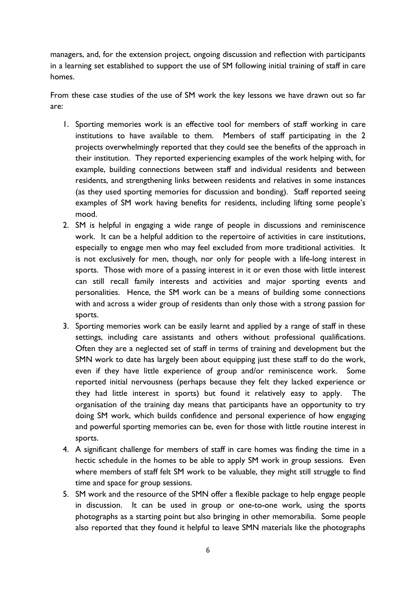managers, and, for the extension project, ongoing discussion and reflection with participants in a learning set established to support the use of SM following initial training of staff in care homes.

From these case studies of the use of SM work the key lessons we have drawn out so far are:

- 1. Sporting memories work is an effective tool for members of staff working in care institutions to have available to them. Members of staff participating in the 2 projects overwhelmingly reported that they could see the benefits of the approach in their institution. They reported experiencing examples of the work helping with, for example, building connections between staff and individual residents and between residents, and strengthening links between residents and relatives in some instances (as they used sporting memories for discussion and bonding). Staff reported seeing examples of SM work having benefits for residents, including lifting some people's mood.
- 2. SM is helpful in engaging a wide range of people in discussions and reminiscence work. It can be a helpful addition to the repertoire of activities in care institutions, especially to engage men who may feel excluded from more traditional activities. It is not exclusively for men, though, nor only for people with a life-long interest in sports. Those with more of a passing interest in it or even those with little interest can still recall family interests and activities and major sporting events and personalities. Hence, the SM work can be a means of building some connections with and across a wider group of residents than only those with a strong passion for sports.
- 3. Sporting memories work can be easily learnt and applied by a range of staff in these settings, including care assistants and others without professional qualifications. Often they are a neglected set of staff in terms of training and development but the SMN work to date has largely been about equipping just these staff to do the work, even if they have little experience of group and/or reminiscence work. Some reported initial nervousness (perhaps because they felt they lacked experience or they had little interest in sports) but found it relatively easy to apply. The organisation of the training day means that participants have an opportunity to try doing SM work, which builds confidence and personal experience of how engaging and powerful sporting memories can be, even for those with little routine interest in sports.
- 4. A significant challenge for members of staff in care homes was finding the time in a hectic schedule in the homes to be able to apply SM work in group sessions. Even where members of staff felt SM work to be valuable, they might still struggle to find time and space for group sessions.
- 5. SM work and the resource of the SMN offer a flexible package to help engage people in discussion. It can be used in group or one-to-one work, using the sports photographs as a starting point but also bringing in other memorabilia. Some people also reported that they found it helpful to leave SMN materials like the photographs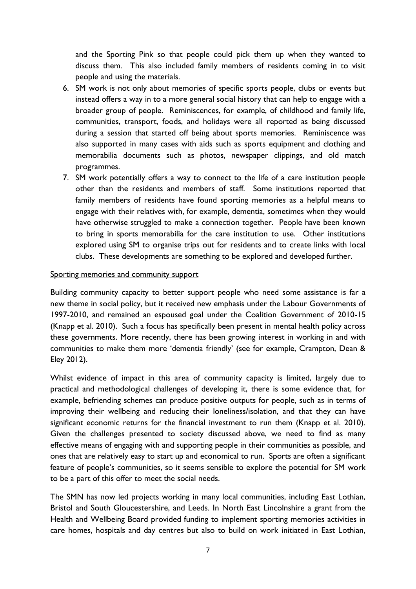and the Sporting Pink so that people could pick them up when they wanted to discuss them. This also included family members of residents coming in to visit people and using the materials.

- 6. SM work is not only about memories of specific sports people, clubs or events but instead offers a way in to a more general social history that can help to engage with a broader group of people. Reminiscences, for example, of childhood and family life, communities, transport, foods, and holidays were all reported as being discussed during a session that started off being about sports memories. Reminiscence was also supported in many cases with aids such as sports equipment and clothing and memorabilia documents such as photos, newspaper clippings, and old match programmes.
- 7. SM work potentially offers a way to connect to the life of a care institution people other than the residents and members of staff. Some institutions reported that family members of residents have found sporting memories as a helpful means to engage with their relatives with, for example, dementia, sometimes when they would have otherwise struggled to make a connection together. People have been known to bring in sports memorabilia for the care institution to use. Other institutions explored using SM to organise trips out for residents and to create links with local clubs. These developments are something to be explored and developed further.

#### Sporting memories and community support

Building community capacity to better support people who need some assistance is far a new theme in social policy, but it received new emphasis under the Labour Governments of 1997-2010, and remained an espoused goal under the Coalition Government of 2010-15 (Knapp et al. 2010). Such a focus has specifically been present in mental health policy across these governments. More recently, there has been growing interest in working in and with communities to make them more 'dementia friendly' (see for example, Crampton, Dean & Eley 2012).

Whilst evidence of impact in this area of community capacity is limited, largely due to practical and methodological challenges of developing it, there is some evidence that, for example, befriending schemes can produce positive outputs for people, such as in terms of improving their wellbeing and reducing their loneliness/isolation, and that they can have significant economic returns for the financial investment to run them (Knapp et al. 2010). Given the challenges presented to society discussed above, we need to find as many effective means of engaging with and supporting people in their communities as possible, and ones that are relatively easy to start up and economical to run. Sports are often a significant feature of people's communities, so it seems sensible to explore the potential for SM work to be a part of this offer to meet the social needs.

The SMN has now led projects working in many local communities, including East Lothian, Bristol and South Gloucestershire, and Leeds. In North East Lincolnshire a grant from the Health and Wellbeing Board provided funding to implement sporting memories activities in care homes, hospitals and day centres but also to build on work initiated in East Lothian,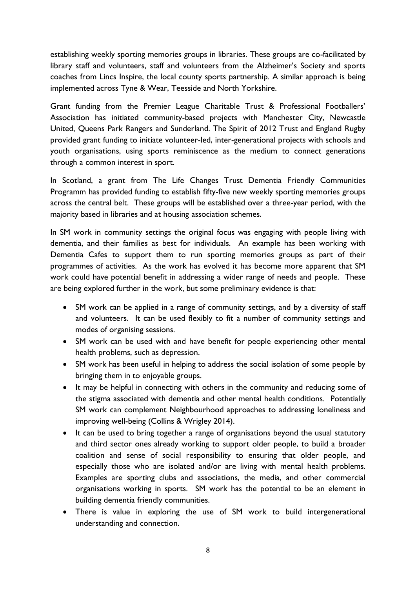establishing weekly sporting memories groups in libraries. These groups are co-facilitated by library staff and volunteers, staff and volunteers from the Alzheimer's Society and sports coaches from Lincs Inspire, the local county sports partnership. A similar approach is being implemented across Tyne & Wear, Teesside and North Yorkshire.

Grant funding from the Premier League Charitable Trust & Professional Footballers' Association has initiated community-based projects with Manchester City, Newcastle United, Queens Park Rangers and Sunderland. The Spirit of 2012 Trust and England Rugby provided grant funding to initiate volunteer-led, inter-generational projects with schools and youth organisations, using sports reminiscence as the medium to connect generations through a common interest in sport.

In Scotland, a grant from The Life Changes Trust Dementia Friendly Communities Programm has provided funding to establish fifty-five new weekly sporting memories groups across the central belt. These groups will be established over a three-year period, with the majority based in libraries and at housing association schemes.

In SM work in community settings the original focus was engaging with people living with dementia, and their families as best for individuals. An example has been working with Dementia Cafes to support them to run sporting memories groups as part of their programmes of activities. As the work has evolved it has become more apparent that SM work could have potential benefit in addressing a wider range of needs and people. These are being explored further in the work, but some preliminary evidence is that:

- SM work can be applied in a range of community settings, and by a diversity of staff and volunteers. It can be used flexibly to fit a number of community settings and modes of organising sessions.
- SM work can be used with and have benefit for people experiencing other mental health problems, such as depression.
- SM work has been useful in helping to address the social isolation of some people by bringing them in to enjoyable groups.
- It may be helpful in connecting with others in the community and reducing some of the stigma associated with dementia and other mental health conditions. Potentially SM work can complement Neighbourhood approaches to addressing loneliness and improving well-being (Collins & Wrigley 2014).
- It can be used to bring together a range of organisations beyond the usual statutory and third sector ones already working to support older people, to build a broader coalition and sense of social responsibility to ensuring that older people, and especially those who are isolated and/or are living with mental health problems. Examples are sporting clubs and associations, the media, and other commercial organisations working in sports. SM work has the potential to be an element in building dementia friendly communities.
- There is value in exploring the use of SM work to build intergenerational understanding and connection.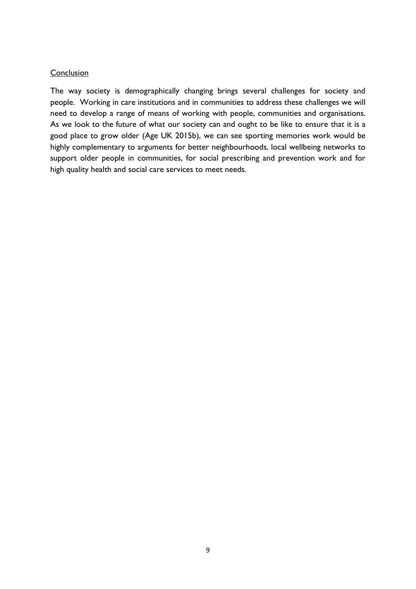#### Conclusion

The way society is demographically changing brings several challenges for society and people. Working in care institutions and in communities to address these challenges we will need to develop a range of means of working with people, communities and organisations. As we look to the future of what our society can and ought to be like to ensure that it is a good place to grow older (Age UK 2015b), we can see sporting memories work would be highly complementary to arguments for better neighbourhoods, local wellbeing networks to support older people in communities, for social prescribing and prevention work and for high quality health and social care services to meet needs.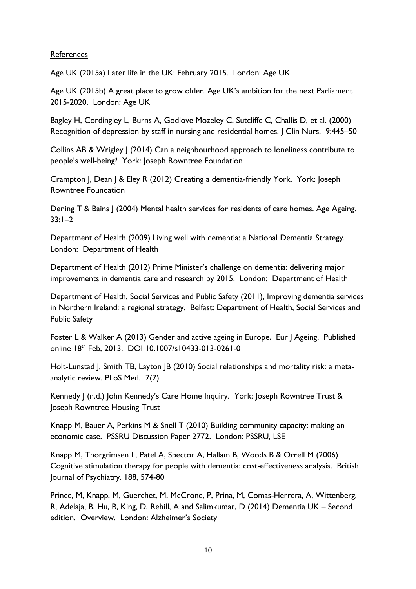#### References

Age UK (2015a) Later life in the UK: February 2015. London: Age UK

Age UK (2015b) A great place to grow older. Age UK's ambition for the next Parliament 2015-2020. London: Age UK

Bagley H, Cordingley L, Burns A, Godlove Mozeley C, Sutcliffe C, Challis D, et al. (2000) Recognition of depression by staff in nursing and residential homes. J Clin Nurs. 9:445–50

Collins AB & Wrigley J (2014) Can a neighbourhood approach to loneliness contribute to people's well-being? York: Joseph Rowntree Foundation

Crampton J, Dean J & Eley R (2012) Creating a dementia-friendly York. York: Joseph Rowntree Foundation

Dening T & Bains J (2004) Mental health services for residents of care homes. Age Ageing. 33:1–2

Department of Health (2009) Living well with dementia: a National Dementia Strategy. London: Department of Health

Department of Health (2012) Prime Minister's challenge on dementia: delivering major improvements in dementia care and research by 2015. London: Department of Health

Department of Health, Social Services and Public Safety (2011), Improving dementia services in Northern Ireland: a regional strategy. Belfast: Department of Health, Social Services and Public Safety

Foster L & Walker A (2013) Gender and active ageing in Europe. Eur J Ageing. Published online 18th Feb, 2013. DOI 10.1007/s10433-013-0261-0

Holt-Lunstad J, Smith TB, Layton JB (2010) Social relationships and mortality risk: a metaanalytic review. PLoS Med. 7(7)

Kennedy J (n.d.) John Kennedy's Care Home Inquiry. York: Joseph Rowntree Trust & Joseph Rowntree Housing Trust

Knapp M, Bauer A, Perkins M & Snell T (2010) Building community capacity: making an economic case. PSSRU Discussion Paper 2772. London: PSSRU, LSE

Knapp M, Thorgrimsen L, Patel A, Spector A, Hallam B, Woods B & Orrell M (2006) Cognitive stimulation therapy for people with dementia: cost-effectiveness analysis. British Journal of Psychiatry. 188, 574-80

Prince, M, Knapp, M, Guerchet, M, McCrone, P, Prina, M, Comas-Herrera, A, Wittenberg, R, Adelaja, B, Hu, B, King, D, Rehill, A and Salimkumar, D (2014) Dementia UK – Second edition. Overview. London: Alzheimer's Society